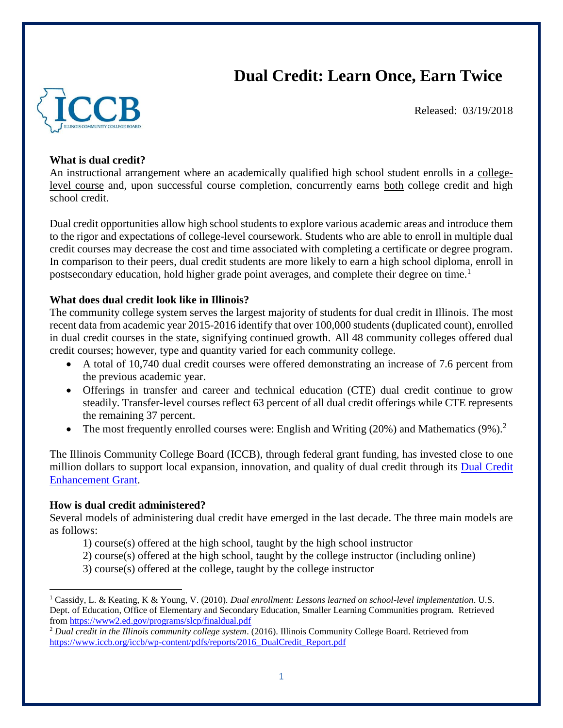# **Dual Credit: Learn Once, Earn Twice**



Released: 03/19/2018

# **What is dual credit?**

An instructional arrangement where an academically qualified high school student enrolls in a collegelevel course and, upon successful course completion, concurrently earns both college credit and high school credit.

Dual credit opportunities allow high school students to explore various academic areas and introduce them to the rigor and expectations of college-level coursework. Students who are able to enroll in multiple dual credit courses may decrease the cost and time associated with completing a certificate or degree program. In comparison to their peers, dual credit students are more likely to earn a high school diploma, enroll in postsecondary education, hold higher grade point averages, and complete their degree on time.<sup>1</sup>

## **What does dual credit look like in Illinois?**

The community college system serves the largest majority of students for dual credit in Illinois. The most recent data from academic year 2015-2016 identify that over 100,000 students (duplicated count), enrolled in dual credit courses in the state, signifying continued growth. All 48 community colleges offered dual credit courses; however, type and quantity varied for each community college.

- A total of 10,740 dual credit courses were offered demonstrating an increase of 7.6 percent from the previous academic year.
- Offerings in transfer and career and technical education (CTE) dual credit continue to grow steadily. Transfer-level courses reflect 63 percent of all dual credit offerings while CTE represents the remaining 37 percent.
- The most frequently enrolled courses were: English and Writing  $(20%)$  and Mathematics  $(9%)$ .<sup>2</sup>

The Illinois Community College Board (ICCB), through federal grant funding, has invested close to one million dollars to support local expansion, innovation, and quality of dual credit through its [Dual Credit](https://www.iccb.org/cte/?page_id=77)  [Enhancement Grant.](https://www.iccb.org/cte/?page_id=77)

## **How is dual credit administered?**

 $\overline{\phantom{a}}$ 

Several models of administering dual credit have emerged in the last decade. The three main models are as follows:

- 1) course(s) offered at the high school, taught by the high school instructor
- 2) course(s) offered at the high school, taught by the college instructor (including online)
- 3) course(s) offered at the college, taught by the college instructor

<sup>1</sup> Cassidy, L. & Keating, K & Young, V. (2010). *Dual enrollment: Lessons learned on school-level implementation*. U.S. Dept. of Education, Office of Elementary and Secondary Education, Smaller Learning Communities program. Retrieved from<https://www2.ed.gov/programs/slcp/finaldual.pdf>

<sup>2</sup> *Dual credit in the Illinois community college system*. (2016). Illinois Community College Board. Retrieved from [https://www.iccb.org/iccb/wp-content/pdfs/reports/2016\\_DualCredit\\_Report.pdf](https://www.iccb.org/iccb/wp-content/pdfs/reports/2016_DualCredit_Report.pdf)